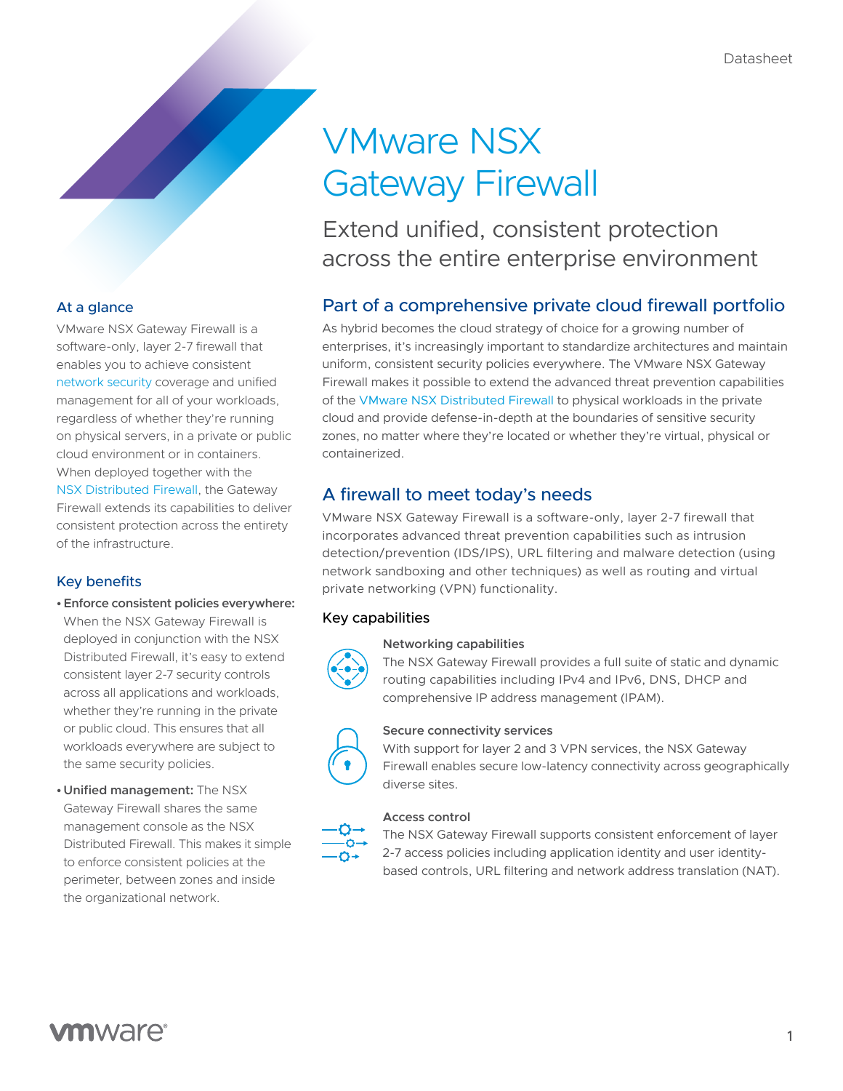# VMware NSX Gateway Firewall

Extend unified, consistent protection across the entire enterprise environment

# Part of a comprehensive private cloud firewall portfolio

As hybrid becomes the cloud strategy of choice for a growing number of enterprises, it's increasingly important to standardize architectures and maintain uniform, consistent security policies everywhere. The VMware NSX Gateway Firewall makes it possible to extend the advanced threat prevention capabilities of the [VMware NSX Distributed Firewall](https://www.vmware.com/products/nsx-distributed-firewall.html) to physical workloads in the private cloud and provide defense-in-depth at the boundaries of sensitive security zones, no matter where they're located or whether they're virtual, physical or containerized.

# A firewall to meet today's needs

VMware NSX Gateway Firewall is a software-only, layer 2-7 firewall that incorporates advanced threat prevention capabilities such as intrusion detection/prevention (IDS/IPS), URL filtering and malware detection (using network sandboxing and other techniques) as well as routing and virtual private networking (VPN) functionality.

# Key capabilities

# **Networking capabilities**

The NSX Gateway Firewall provides a full suite of static and dynamic routing capabilities including IPv4 and IPv6, DNS, DHCP and comprehensive IP address management (IPAM).



## **Secure connectivity services**

With support for layer 2 and 3 VPN services, the NSX Gateway Firewall enables secure low-latency connectivity across geographically diverse sites.

## **Access control**

The NSX Gateway Firewall supports consistent enforcement of layer 2-7 access policies including application identity and user identitybased controls, URL filtering and network address translation (NAT).

# At a glance

VMware NSX Gateway Firewall is a software-only, layer 2-7 firewall that enables you to achieve consistent [network security c](https://www.vmware.com/security/network-security.html)overage and unified management for all of your workloads, regardless of whether they're running on physical servers, in a private or public cloud environment or in containers. When deployed together with the [NSX Distributed Firewall,](https://www.vmware.com/products/nsx-distributed-firewall.html) the Gateway Firewall extends its capabilities to deliver consistent protection across the entirety of the infrastructure.

# Key benefits

**•Enforce consistent policies everywhere:** 

When the NSX Gateway Firewall is deployed in conjunction with the NSX Distributed Firewall, it's easy to extend consistent layer 2-7 security controls across all applications and workloads, whether they're running in the private or public cloud. This ensures that all workloads everywhere are subject to the same security policies.

**•Unified management:** The NSX Gateway Firewall shares the same management console as the NSX Distributed Firewall. This makes it simple to enforce consistent policies at the perimeter, between zones and inside the organizational network.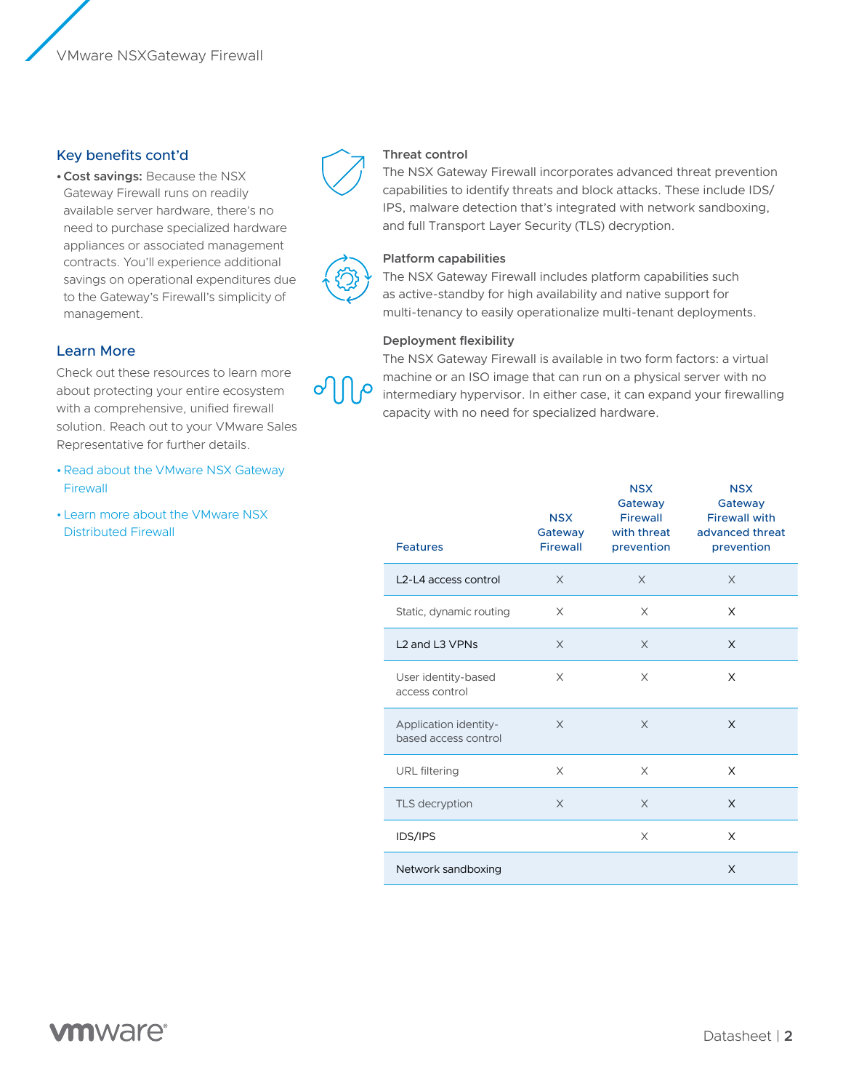## Key benefits cont'd

**•Cost savings:** Because the NSX Gateway Firewall runs on readily available server hardware, there's no need to purchase specialized hardware appliances or associated management contracts. You'll experience additional savings on operational expenditures due to the Gateway's Firewall's simplicity of management.

## Learn More

Check out these resources to learn more about protecting your entire ecosystem with a comprehensive, unified firewall solution. Reach out to your VMware Sales Representative for further details.

- •[Read about the VMware NSX Gateway](https://www.vmware.com/products/nsx-gateway-firewall.html)  [Firewall](https://www.vmware.com/products/nsx-gateway-firewall.html)
- •[Learn more about the VMware NSX](https://www.vmware.com/products/nsx-distributed-firewall.html)  [Distributed Firewall](https://www.vmware.com/products/nsx-distributed-firewall.html)



#### **Threat control**

The NSX Gateway Firewall incorporates advanced threat prevention capabilities to identify threats and block attacks. These include IDS/ IPS, malware detection that's integrated with network sandboxing, and full Transport Layer Security (TLS) decryption.



#### **Platform capabilities**

The NSX Gateway Firewall includes platform capabilities such as active-standby for high availability and native support for multi-tenancy to easily operationalize multi-tenant deployments.

#### **Deployment flexibility**

The NSX Gateway Firewall is available in two form factors: a virtual machine or an ISO image that can run on a physical server with no intermediary hypervisor. In either case, it can expand your firewalling capacity with no need for specialized hardware.

|                                                    | <b>NSX</b><br>Gateway | <b>NSX</b><br>Gateway<br><b>Firewall</b><br>with threat | <b>NSX</b><br>Gateway<br><b>Firewall with</b><br>advanced threat |
|----------------------------------------------------|-----------------------|---------------------------------------------------------|------------------------------------------------------------------|
| <b>Features</b>                                    | Firewall              | prevention                                              | prevention                                                       |
| L <sub>2</sub> -L <sub>4</sub> access control      | X                     | X                                                       | $\times$                                                         |
| Static, dynamic routing                            | X                     | X                                                       | X                                                                |
| L <sub>2</sub> and L <sub>3</sub> VPN <sub>s</sub> | X                     | X                                                       | X                                                                |
| User identity-based<br>access control              | X                     | X                                                       | X                                                                |
| Application identity-<br>based access control      | X                     | X                                                       | X                                                                |
| <b>URL</b> filtering                               | X                     | X                                                       | X                                                                |
| TLS decryption                                     | X                     | X                                                       | X                                                                |
| <b>IDS/IPS</b>                                     |                       | X                                                       | X                                                                |
| Network sandboxing                                 |                       |                                                         | X                                                                |